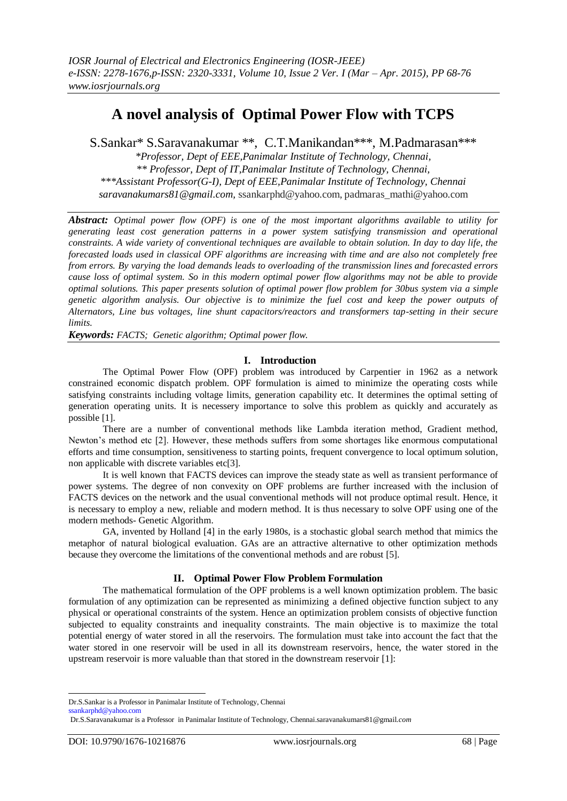# **A novel analysis of Optimal Power Flow with TCPS**

S.Sankar\* S.Saravanakumar \*\*, C.T.Manikandan\*\*\*, M.Padmarasan\*\*\*

*\*Professor, Dept of EEE,Panimalar Institute of Technology, Chennai, \*\* Professor, Dept of IT,Panimalar Institute of Technology, Chennai, \*\*\*Assistant Professor(G-I), Dept of EEE,Panimalar Institute of Technology, Chennai saravanakumars81@gmail.com,* ssankarphd@yahoo.com, padmaras\_mathi@yahoo.com

*Abstract: Optimal power flow (OPF) is one of the most important algorithms available to utility for generating least cost generation patterns in a power system satisfying transmission and operational constraints. A wide variety of conventional techniques are available to obtain solution. In day to day life, the forecasted loads used in classical OPF algorithms are increasing with time and are also not completely free from errors. By varying the load demands leads to overloading of the transmission lines and forecasted errors cause loss of optimal system. So in this modern optimal power flow algorithms may not be able to provide optimal solutions. This paper presents solution of optimal power flow problem for 30bus system via a simple genetic algorithm analysis. Our objective is to minimize the fuel cost and keep the power outputs of Alternators, Line bus voltages, line shunt capacitors/reactors and transformers tap-setting in their secure limits.*

*Keywords: FACTS; Genetic algorithm; Optimal power flow.*

## **I. Introduction**

The Optimal Power Flow (OPF) problem was introduced by Carpentier in 1962 as a network constrained economic dispatch problem. OPF formulation is aimed to minimize the operating costs while satisfying constraints including voltage limits, generation capability etc. It determines the optimal setting of generation operating units. It is necessery importance to solve this problem as quickly and accurately as possible [1].

There are a number of conventional methods like Lambda iteration method, Gradient method, Newton's method etc [2]. However, these methods suffers from some shortages like enormous computational efforts and time consumption, sensitiveness to starting points, frequent convergence to local optimum solution, non applicable with discrete variables etc[3].

It is well known that FACTS devices can improve the steady state as well as transient performance of power systems. The degree of non convexity on OPF problems are further increased with the inclusion of FACTS devices on the network and the usual conventional methods will not produce optimal result. Hence, it is necessary to employ a new, reliable and modern method. It is thus necessary to solve OPF using one of the modern methods- Genetic Algorithm.

GA, invented by Holland [4] in the early 1980s, is a stochastic global search method that mimics the metaphor of natural biological evaluation. GAs are an attractive alternative to other optimization methods because they overcome the limitations of the conventional methods and are robust [5].

## **II. Optimal Power Flow Problem Formulation**

The mathematical formulation of the OPF problems is a well known optimization problem. The basic formulation of any optimization can be represented as minimizing a defined objective function subject to any physical or operational constraints of the system. Hence an optimization problem consists of objective function subjected to equality constraints and inequality constraints. The main objective is to maximize the total potential energy of water stored in all the reservoirs. The formulation must take into account the fact that the water stored in one reservoir will be used in all its downstream reservoirs, hence, the water stored in the upstream reservoir is more valuable than that stored in the downstream reservoir [1]:

-

Dr.S.Sankar is a Professor in Panimalar Institute of Technology, Chennai

[ssankarphd@yahoo.com](mailto:ssankarphd@yahoo.com)

Dr.S.Saravanakumar is a Professor in Panimalar Institute of Technology, Chennai.saravanakumars81@gmail*.com*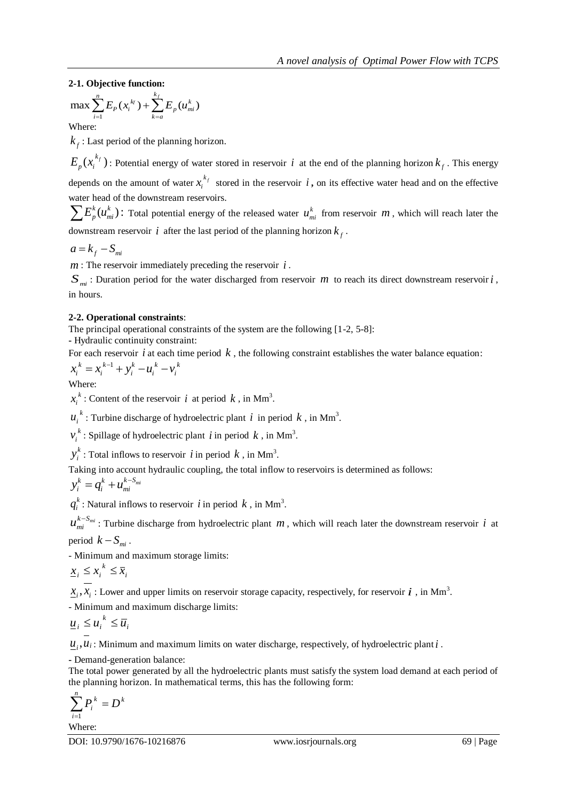2-1. Objective function:  
\n
$$
\max \sum_{i=1}^{n} E_p(x_i^{k}) + \sum_{k=a}^{k_f} E_p(u_{mi}^k)
$$

Where:

*f k* : Last period of the planning horizon.

 $E_p(x_i^{k_f})$ : Potential energy of water stored in reservoir i at the end of the planning horizon  $k_f$ . This energy depends on the amount of water  $x_i^{k_j}$  $x_i^{k_f}$  stored in the reservoir  $i$ , on its effective water head and on the effective water head of the downstream reservoirs.

 $\sum E_p^k(u_{mi}^k)$ : Total potential energy of the released water  $u_{mi}^k$  from reservoir  $m$ , which will reach later the downstream reservoir *i* after the last period of the planning horizon  $k_f$ .

 $a = k_f - S_{mi}$ 

*m* : The reservoir immediately preceding the reservoir *i* .

 $S_{mi}$ : Duration period for the water discharged from reservoir *m* to reach its direct downstream reservoir *i*, in hours.

## **2-2. Operational constraints**:

The principal operational constraints of the system are the following [1-2, 5-8]:

**-** Hydraulic continuity constraint:

For each reservoir *i* at each time period *k*, the following constraint establishes the water balance equation:<br> $x_i^k = x_i^{k-1} + y_i^k - u_i^k - v_i^k$ 

$$
x_i^k = x_i^{k-1} + y_i^k - u_i^k - v_i^k
$$

Where:

*k*  $x_i^k$ : Content of the reservoir *i* at period *k*, in Mm<sup>3</sup>.

 $u_i^k$ : Turbine discharge of hydroelectric plant *i* in period *k*, in Mm<sup>3</sup>.

*k*  $v_i^k$ : Spillage of hydroelectric plant *i* in period *k*, in Mm<sup>3</sup>.

*k*  $y_i^k$ : Total inflows to reservoir *i* in period *k*, in Mm<sup>3</sup>.

Taking into account hydraulic coupling, the total inflow to reservoirs is determined as follows:

$$
y_i^k = q_i^k + u_{mi}^{k-S_{mi}}
$$

*k*  $q_i^k$ : Natural inflows to reservoir *i* in period *k*, in Mm<sup>3</sup>.

 $u_{mi}^{k-S_{mi}}$ : Turbine discharge from hydroelectric plant  $m$ , which will reach later the downstream reservoir  $i$  at period  $k - S_{mi}$ .

- Minimum and maximum storage limits:

*i k*  $\underline{x}_i \leq x_i^k \leq \overline{x}$ 

 $\underline{x}_i, \overline{x}_i$ : Lower and upper limits on reservoir storage capacity, respectively, for reservoir  $i$ , in Mm<sup>3</sup>.

- Minimum and maximum discharge limits:

$$
\underline{u}_i \leq u_i^k \leq \overline{u}_i
$$

 $\underline{u}_i, u_i$ : Minimum and maximum limits on water discharge, respectively, of hydroelectric plant  $i$ .

**-** Demand-generation balance:

The total power generated by all the hydroelectric plants must satisfy the system load demand at each period of the planning horizon. In mathematical terms, this has the following form:

$$
\sum_{i=1}^n P_i^k = D^k
$$

Where: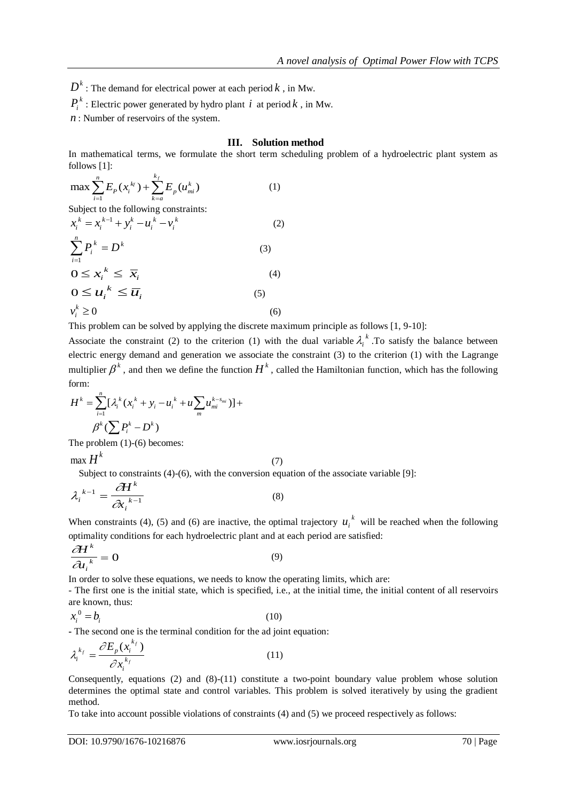$D^k$ : The demand for electrical power at each period  $k$  , in Mw.

 $P_i^k$ : Electric power generated by hydro plant *i* at period *k*, in Mw.

*n* : Number of reservoirs of the system.

#### **III. Solution method**

In mathematical terms, we formulate the short term scheduling problem of a hydroelectric plant system as follows [1]:

$$
\max \sum_{i=1}^{n} E_p(x_i^{k_j}) + \sum_{k=a}^{k_f} E_p(u_{mi}^k)
$$
 (1)

Subject to the following constraints:

$$
x_i^k = x_i^{k-1} + y_i^k - u_i^k - v_i^k
$$
  

$$
\sum_{i=1}^n P_i^k = D^k
$$
 (3)

$$
\sum_{i=1}^{n} (1+i)^{n} = 0
$$
\n
$$
0 \le x_i^k \le \overline{x}_i
$$
\n
$$
0 \le u_i^k \le \overline{u}_i
$$
\n
$$
v_i^k \ge 0
$$
\n
$$
(6)
$$

This problem can be solved by applying the discrete maximum principle as follows [1, 9-10]:

Associate the constraint (2) to the criterion (1) with the dual variable  $\lambda_i^k$ . To satisfy the balance between electric energy demand and generation we associate the constraint (3) to the criterion (1) with the Lagrange multiplier  $\beta^k$ , and then we define the function  $H^k$ , called the Hamiltonian function, which has the following form:

form:  
\n
$$
H^{k} = \sum_{i=1}^{n} [\lambda_{i}^{k} (x_{i}^{k} + y_{i} - u_{i}^{k} + u \sum_{m} u_{mi}^{k-s_{mi}})] +
$$
\n
$$
\beta^{k} (\sum P_{i}^{k} - D^{k})
$$

The problem (1)-(6) becomes:

max  $H^k$  $H^k$  (7)

*i*

Subject to constraints (4)-(6), with the conversion equation of the associate variable [9]:

$$
\lambda_i^{k-1} = \frac{\partial H^k}{\partial x_i^{k-1}}
$$
 (8)

When constraints (4), (5) and (6) are inactive, the optimal trajectory  $u_i^k$  will be reached when the following optimality conditions for each hydroelectric plant and at each period are satisfied:

$$
\frac{\partial H^k}{\partial u_i^k} = 0 \tag{9}
$$

In order to solve these equations, we needs to know the operating limits, which are:

- The first one is the initial state, which is specified, i.e., at the initial time, the initial content of all reservoirs are known, thus:

$$
x_i^0 = b_i \tag{10}
$$

**-** The second one is the terminal condition for the ad joint equation:

$$
\lambda_i^{k_f} = \frac{\partial E_p(x_i^{k_f})}{\partial x_i^{k_f}}
$$
\n(11)

Consequently, equations (2) and (8)-(11) constitute a two-point boundary value problem whose solution determines the optimal state and control variables. This problem is solved iteratively by using the gradient method.

To take into account possible violations of constraints (4) and (5) we proceed respectively as follows: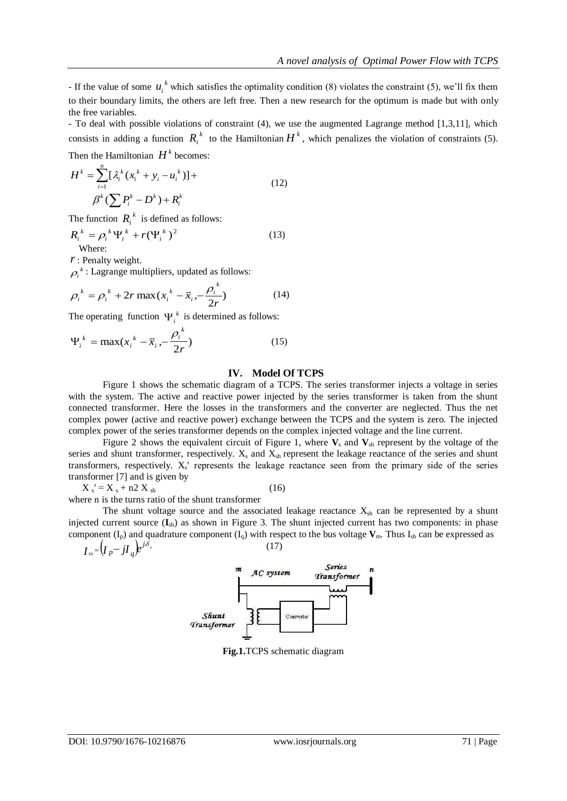If the value of some  $u_i^k$  which satisfies the optimality condition (8) violates the constraint (5), we'll fix them to their boundary limits, the others are left free. Then a new research for the optimum is made but with only the free variables.

- To deal with possible violations of constraint (4), we use the augmented Lagrange method [1,3,11], which consists in adding a function  $R_i^k$  to the Hamiltonian  $H^k$ , which penalizes the violation of constraints (5).

Then the Hamiltonian  $H^k$  becomes:

$$
H^{k} = \sum_{i=1}^{n} [\lambda_{i}^{k} (x_{i}^{k} + y_{i} - u_{i}^{k})] +
$$
  

$$
\beta^{k} (\sum P_{i}^{k} - D^{k}) + R_{i}^{k}
$$
 (12)

The function  $R_i^k$  is defined as follows:

$$
R_i^{\ k} = \rho_i^{\ k} \Psi_i^{\ k} + r (\Psi_i^{\ k})^2
$$
\nWhere:

\n(13)

*r* : Penalty weight.

 $\rho_i^k$ : Lagrange multipliers, updated as follows:

$$
\rho_i^{\ k} = \rho_i^{\ k} + 2r \max(x_i^{\ k} - \bar{x}_i, -\frac{\rho_i^{\ k}}{2r}) \tag{14}
$$

The operating function  $\Psi_i^k$  is determined as follows:

$$
\Psi_i^{\ k} = \max(x_i^{\ k} - \overline{x}_i, -\frac{\rho_i^{\ k}}{2r})
$$
\n(15)

#### **IV. Model Of TCPS**

Figure 1 shows the schematic diagram of a TCPS. The series transformer injects a voltage in series with the system. The active and reactive power injected by the series transformer is taken from the shunt connected transformer. Here the losses in the transformers and the converter are neglected. Thus the net complex power (active and reactive power) exchange between the TCPS and the system is zero. The injected complex power of the series transformer depends on the complex injected voltage and the line current.

Figure 2 shows the equivalent circuit of Figure 1, where **V**<sup>s</sup> and **V**sh represent by the voltage of the series and shunt transformer, respectively.  $X_s$  and  $X_{sh}$  represent the leakage reactance of the series and shunt transformers, respectively.  $X_s'$  represents the leakage reactance seen from the primary side of the series transformer [7] and is given by

 $X_s' = X_s + n2 X_{sh}$  (16)

where n is the turns ratio of the shunt transformer

The shunt voltage source and the associated leakage reactance  $X_{sh}$  can be represented by a shunt injected current source (**I**sh) as shown in Figure 3. The shunt injected current has two components: in phase component  $(I_p)$  and quadrature component  $(I_q)$  with respect to the bus voltage  $V_m$ . Thus  $I_{sh}$  can be expressed as (17)

$$
I_{\scriptscriptstyle Sh} {=} \bigl(I_{\scriptscriptstyle p} {-} j I_{\scriptscriptstyle q} \bigr) e^{j \delta_{\scriptscriptstyle m}}
$$



**Fig.1.**TCPS schematic diagram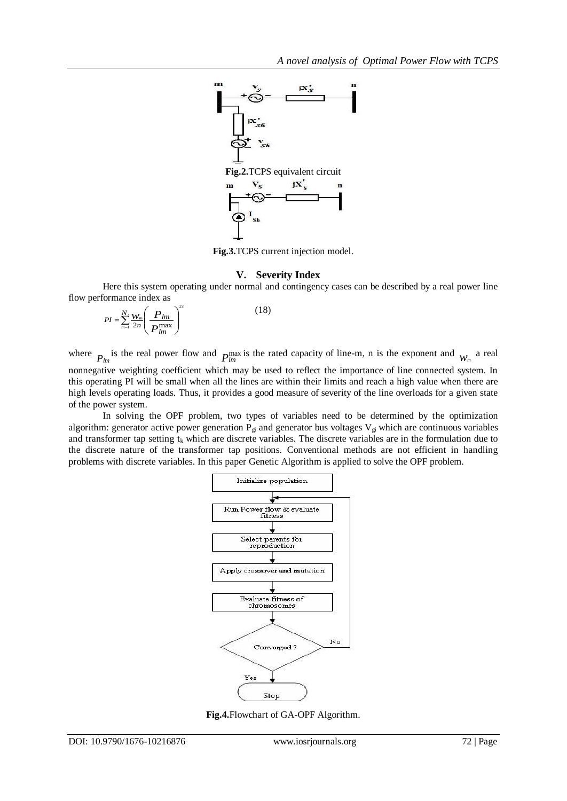

**Fig.3.**TCPS current injection model.

## **V. Severity Index**

Here this system operating under normal and contingency cases can be described by a real power line flow performance index as

$$
PI = \sum_{m=1}^{N} \frac{W_m}{2n} \left( \frac{P_{lm}}{P_{lm}^{\max}} \right)^{2n}
$$
 (18)

where  $P_{lm}$  is the real power flow and  $P_{lm}^{max}$  is the rated capacity of line-m, n is the exponent and  $W_m$  a real nonnegative weighting coefficient which may be used to reflect the importance of line connected system. In this operating PI will be small when all the lines are within their limits and reach a high value when there are high levels operating loads. Thus, it provides a good measure of severity of the line overloads for a given state of the power system.

In solving the OPF problem, two types of variables need to be determined by the optimization algorithm: generator active power generation  $P_{gi}$  and generator bus voltages  $V_{gi}$  which are continuous variables and transformer tap setting  $t_k$  which are discrete variables. The discrete variables are in the formulation due to the discrete nature of the transformer tap positions. Conventional methods are not efficient in handling problems with discrete variables. In this paper Genetic Algorithm is applied to solve the OPF problem.



**Fig.4.**Flowchart of GA-OPF Algorithm.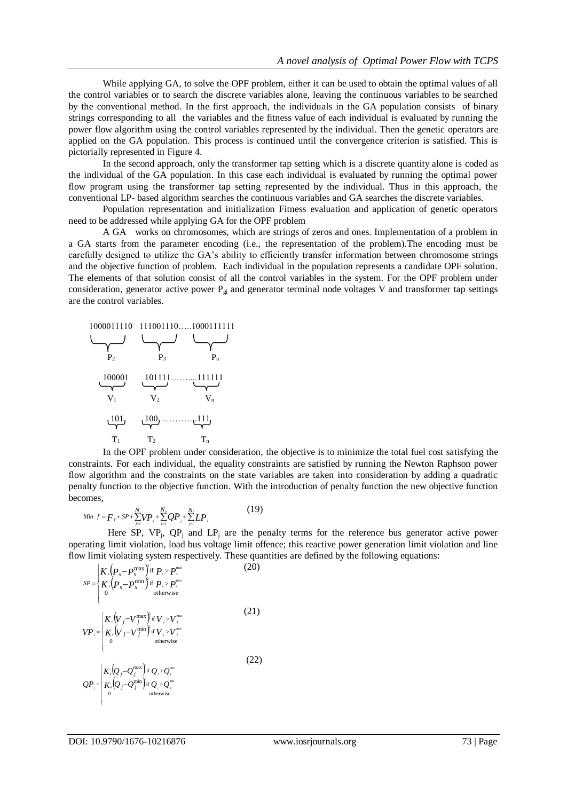While applying GA, to solve the OPF problem, either it can be used to obtain the optimal values of all the control variables or to search the discrete variables alone, leaving the continuous variables to be searched by the conventional method. In the first approach, the individuals in the GA population consists of binary strings corresponding to all the variables and the fitness value of each individual is evaluated by running the power flow algorithm using the control variables represented by the individual. Then the genetic operators are applied on the GA population. This process is continued until the convergence criterion is satisfied. This is pictorially represented in Figure 4.

In the second approach, only the transformer tap setting which is a discrete quantity alone is coded as the individual of the GA population. In this case each individual is evaluated by running the optimal power flow program using the transformer tap setting represented by the individual. Thus in this approach, the conventional LP- based algorithm searches the continuous variables and GA searches the discrete variables.

Population representation and initialization Fitness evaluation and application of genetic operators need to be addressed while applying GA for the OPF problem

A GA works on chromosomes, which are strings of zeros and ones. Implementation of a problem in a GA starts from the parameter encoding (i.e., the representation of the problem).The encoding must be carefully designed to utilize the GA's ability to efficiently transfer information between chromosome strings and the objective function of problem. Each individual in the population represents a candidate OPF solution. The elements of that solution consist of all the control variables in the system. For the OPF problem under consideration, generator active power  $P_{gi}$  and generator terminal node voltages V and transformer tap settings are the control variables.

1000011110 111001110....1000111111  
\n  
\n
$$
P_2
$$
 P<sub>3</sub> P<sub>n</sub>  
\n100001 101111............111111  
\n $V_1$  V<sub>2</sub> V<sub>n</sub>  
\n1011 100............1111  
\nT<sub>1</sub> T<sub>2</sub> T<sub>n</sub>

In the OPF problem under consideration, the objective is to minimize the total fuel cost satisfying the constraints. For each individual, the equality constraints are satisfied by running the Newton Raphson power flow algorithm and the constraints on the state variables are taken into consideration by adding a quadratic penalty function to the objective function. With the introduction of penalty function the new objective function becomes,

Min 
$$
f = F_{\tau} + SP + \sum_{j=1}^{N_i} VP_j + \sum_{i=1}^{N_i} QP_j + \sum_{j=1}^{N_i} LP_j
$$
 (19)

Here SP,  $VP_j$ ,  $QP_j$  and  $LP_j$  are the penalty terms for the reference bus generator active power operating limit violation, load bus voltage limit offence; this reactive power generation limit violation and line flow limit violating system respectively. These quantities are defined by the following equations:

$$
SP = \begin{cases} K_{s}(p_{s}-p_{s}^{\max}) & \text{if } P_{s} > p_{s}^{\max} \\ K_{s}(p_{s}-p_{s}^{\min}) & \text{if } P_{s} > p_{s}^{\min} \\ 0 & \text{otherwise} \end{cases}
$$
(20)  

$$
VP_{j} = \begin{cases} K_{v}(V_{j}-V_{j}^{\max}) & \text{if } V_{j} > V_{j}^{\max} \\ K_{v}(V_{j}-V_{j}^{\min}) & \text{if } V_{j} > V_{j}^{\min} \\ 0 & \text{otherwise} \end{cases}
$$
(21)  

$$
QP_{j} = \begin{cases} K_{v}(Q_{j}-Q_{j}^{\max}) & \text{if } Q_{j} > Q_{j}^{\min} \\ K_{v}(Q_{j}-Q_{j}^{\min}) & \text{if } Q_{j} > Q_{j}^{\min} \\ 0 & \text{otherwise} \end{cases}
$$
(22)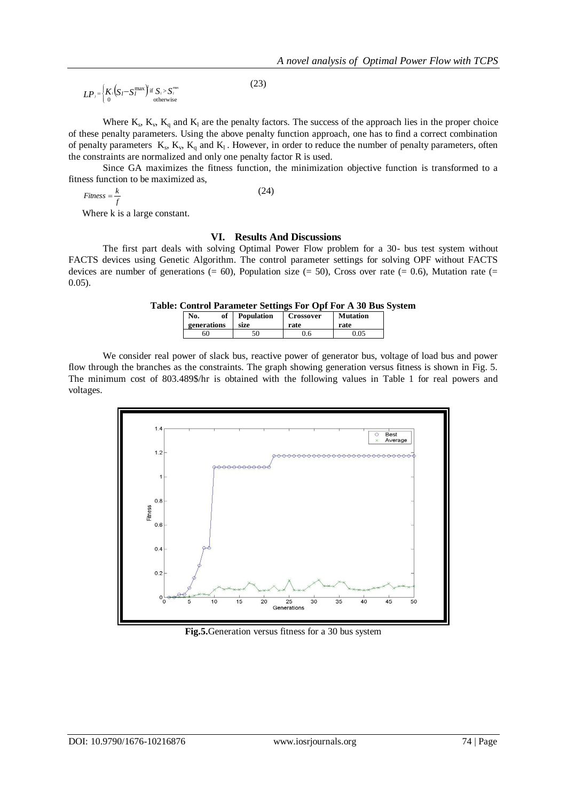$$
LP_{i} = \left\{ \frac{K_{i}(S_{l} - S_{l}^{\max})}{\sigma} \right\}^{i} \quad S_{i} > S_{i}^{\max} \tag{23}
$$

Where  $K_s$ ,  $K_v$ ,  $K_q$  and  $K_l$  are the penalty factors. The success of the approach lies in the proper choice of these penalty parameters. Using the above penalty function approach, one has to find a correct combination of penalty parameters  $K_s$ ,  $K_v$ ,  $K_q$  and  $K_l$ . However, in order to reduce the number of penalty parameters, often the constraints are normalized and only one penalty factor R is used.

Since GA maximizes the fitness function, the minimization objective function is transformed to a fitness function to be maximized as,

$$
Fitness = \frac{k}{f}
$$
 (24)

Where k is a large constant.

#### **VI. Results And Discussions**

The first part deals with solving Optimal Power Flow problem for a 30- bus test system without FACTS devices using Genetic Algorithm. The control parameter settings for solving OPF without FACTS devices are number of generations (= 60), Population size (= 50), Cross over rate (= 0.6), Mutation rate (= 0.05).

**Table: Control Parameter Settings For Opf For A 30 Bus System**

| of          | <b>Population</b> | Crossover | <b>Mutation</b> |
|-------------|-------------------|-----------|-----------------|
| generations | size              | rate      | rate            |
|             |                   |           | 05              |

We consider real power of slack bus, reactive power of generator bus, voltage of load bus and power flow through the branches as the constraints. The graph showing generation versus fitness is shown in Fig. 5. The minimum cost of 803.489\$/hr is obtained with the following values in Table 1 for real powers and voltages.



**Fig.5.**Generation versus fitness for a 30 bus system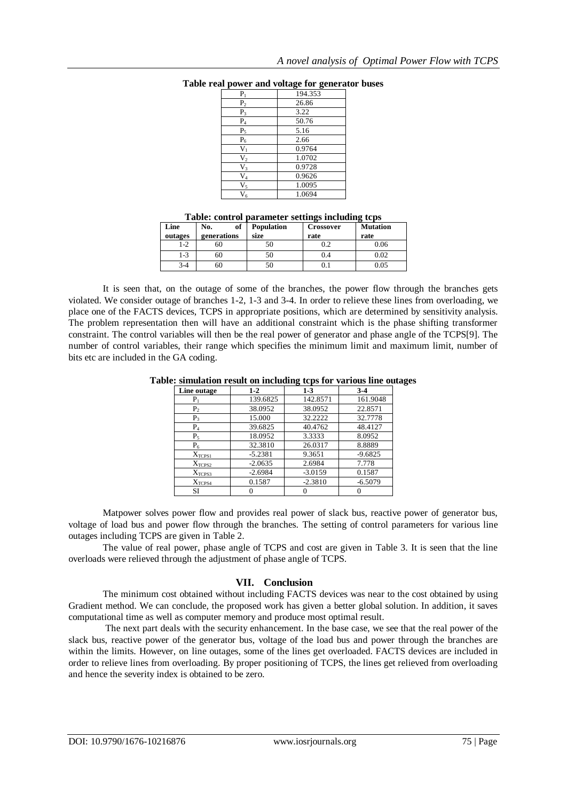| $P_1$          | 194.353 |
|----------------|---------|
| P <sub>2</sub> | 26.86   |
| $P_3$          | 3.22    |
| $\mathbf{P}_4$ | 50.76   |
| $P_5$          | 5.16    |
| $\mathbf{P}_6$ | 2.66    |
| $V_1$          | 0.9764  |
| V <sub>2</sub> | 1.0702  |
| $V_3$          | 0.9728  |
| $\rm V_4$      | 0.9626  |
| $V_5$          | 1.0095  |
| $V_6$          | 1.0694  |

#### **Table real power and voltage for generator buses**

### **Table: control parameter settings including tcps**

| Line<br>outages | of<br>No.<br>generations | <b>Population</b><br>size | Crossover<br>rate | <b>Mutation</b><br>rate |
|-----------------|--------------------------|---------------------------|-------------------|-------------------------|
| $1 - 2$         | ou                       |                           | 0.2               | 0.06                    |
| 1-3             | 60                       | 50                        | 9.4               | 0.02                    |
| $3-4$           | bU                       | 50                        |                   | 0.05                    |

It is seen that, on the outage of some of the branches, the power flow through the branches gets violated. We consider outage of branches 1-2, 1-3 and 3-4. In order to relieve these lines from overloading, we place one of the FACTS devices, TCPS in appropriate positions, which are determined by sensitivity analysis. The problem representation then will have an additional constraint which is the phase shifting transformer constraint. The control variables will then be the real power of generator and phase angle of the TCPS[9]. The number of control variables, their range which specifies the minimum limit and maximum limit, number of bits etc are included in the GA coding.

#### **Table: simulation result on including tcps for various line outages**

| Line outage        | $1-2$     | $1-3$     | $3-4$     |
|--------------------|-----------|-----------|-----------|
| ${\bf P}_1$        | 139.6825  | 142.8571  | 161.9048  |
| P <sub>2</sub>     | 38.0952   | 38.0952   | 22.8571   |
| $P_3$              | 15.000    | 32.2222   | 32.7778   |
| $P_4$              | 39.6825   | 40.4762   | 48.4127   |
| $P_5$              | 18.0952   | 3.3333    | 8.0952    |
| $P_6$              | 32.3810   | 26.0317   | 8.8889    |
| X <sub>TCPS1</sub> | $-5.2381$ | 9.3651    | $-9.6825$ |
| X <sub>TCPS2</sub> | $-2.0635$ | 2.6984    | 7.778     |
| X <sub>TCPS3</sub> | $-2.6984$ | $-3.0159$ | 0.1587    |
| X <sub>TCPS4</sub> | 0.1587    | $-2.3810$ | $-6.5079$ |
| SI                 |           |           |           |

Matpower solves power flow and provides real power of slack bus, reactive power of generator bus, voltage of load bus and power flow through the branches. The setting of control parameters for various line outages including TCPS are given in Table 2.

The value of real power, phase angle of TCPS and cost are given in Table 3. It is seen that the line overloads were relieved through the adjustment of phase angle of TCPS.

## **VII. Conclusion**

The minimum cost obtained without including FACTS devices was near to the cost obtained by using Gradient method. We can conclude, the proposed work has given a better global solution. In addition, it saves computational time as well as computer memory and produce most optimal result.

The next part deals with the security enhancement. In the base case, we see that the real power of the slack bus, reactive power of the generator bus, voltage of the load bus and power through the branches are within the limits. However, on line outages, some of the lines get overloaded. FACTS devices are included in order to relieve lines from overloading. By proper positioning of TCPS, the lines get relieved from overloading and hence the severity index is obtained to be zero.